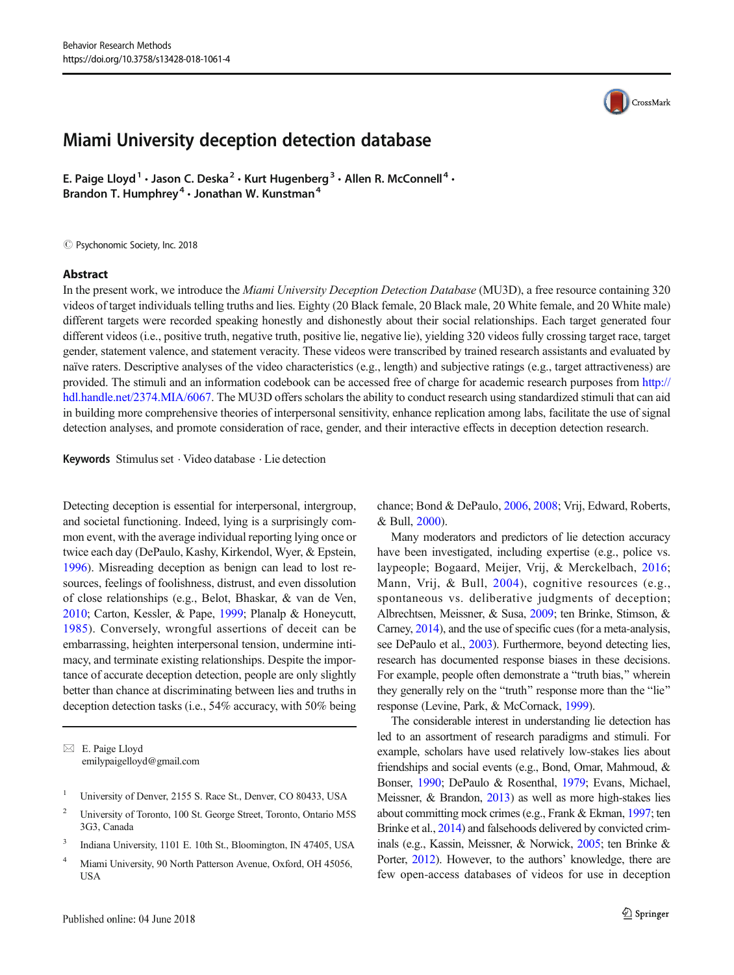# Miami University deception detection database

E. Paige Lloyd<sup>1</sup> · Jason C. Deska<sup>2</sup> · Kurt Hugenberg<sup>3</sup> · Allen R. McConnell<sup>4</sup> · Brandon T. Humphrey<sup>4</sup>  $\cdot$  Jonathan W. Kunstman<sup>4</sup>

 $\circled{C}$  Psychonomic Society, Inc. 2018

## Abstract



In the present work, we introduce the Miami University Deception Detection Database (MU3D), a free resource containing 320 videos of target individuals telling truths and lies. Eighty (20 Black female, 20 Black male, 20 White female, and 20 White male) different targets were recorded speaking honestly and dishonestly about their social relationships. Each target generated four different videos (i.e., positive truth, negative truth, positive lie, negative lie), yielding 320 videos fully crossing target race, target gender, statement valence, and statement veracity. These videos were transcribed by trained research assistants and evaluated by naïve raters. Descriptive analyses of the video characteristics (e.g., length) and subjective ratings (e.g., target attractiveness) are provided. The stimuli and an information codebook can be accessed free of charge for academic research purposes from [http://](http://hdl.handle.net/2374.MIA/6067) [hdl.handle.net/2374.MIA/6067](http://hdl.handle.net/2374.MIA/6067). The MU3D offers scholars the ability to conduct research using standardized stimuli that can aid in building more comprehensive theories of interpersonal sensitivity, enhance replication among labs, facilitate the use of signal detection analyses, and promote consideration of race, gender, and their interactive effects in deception detection research.

Keywords Stimulus set . Video database . Lie detection

Detecting deception is essential for interpersonal, intergroup, and societal functioning. Indeed, lying is a surprisingly common event, with the average individual reporting lying once or twice each day (DePaulo, Kashy, Kirkendol, Wyer, & Epstein, [1996\)](#page-9-0). Misreading deception as benign can lead to lost resources, feelings of foolishness, distrust, and even dissolution of close relationships (e.g., Belot, Bhaskar, & van de Ven, [2010;](#page-9-0) Carton, Kessler, & Pape, [1999](#page-9-0); Planalp & Honeycutt, [1985\)](#page-10-0). Conversely, wrongful assertions of deceit can be embarrassing, heighten interpersonal tension, undermine intimacy, and terminate existing relationships. Despite the importance of accurate deception detection, people are only slightly better than chance at discriminating between lies and truths in deception detection tasks (i.e., 54% accuracy, with 50% being

 $\boxtimes$  E. Paige Lloyd [emilypaigelloyd@gmail.com](mailto:emilypaigelloyd@gmail.com)

- <sup>1</sup> University of Denver, 2155 S. Race St., Denver, CO 80433, USA
- <sup>2</sup> University of Toronto, 100 St. George Street, Toronto, Ontario M5S 3G3, Canada
- <sup>3</sup> Indiana University, 1101 E. 10th St., Bloomington, IN 47405, USA
- <sup>4</sup> Miami University, 90 North Patterson Avenue, Oxford, OH 45056, USA

chance; Bond & DePaulo, [2006,](#page-9-0) [2008;](#page-9-0) Vrij, Edward, Roberts, & Bull, [2000\)](#page-10-0).

Many moderators and predictors of lie detection accuracy have been investigated, including expertise (e.g., police vs. laypeople; Bogaard, Meijer, Vrij, & Merckelbach, [2016;](#page-9-0) Mann, Vrij, & Bull, [2004\)](#page-10-0), cognitive resources (e.g., spontaneous vs. deliberative judgments of deception; Albrechtsen, Meissner, & Susa, [2009](#page-9-0); ten Brinke, Stimson, & Carney, [2014](#page-10-0)), and the use of specific cues (for a meta-analysis, see DePaulo et al., [2003\)](#page-9-0). Furthermore, beyond detecting lies, research has documented response biases in these decisions. For example, people often demonstrate a "truth bias," wherein they generally rely on the "truth" response more than the "lie" response (Levine, Park, & McCornack, [1999\)](#page-9-0).

The considerable interest in understanding lie detection has led to an assortment of research paradigms and stimuli. For example, scholars have used relatively low-stakes lies about friendships and social events (e.g., Bond, Omar, Mahmoud, & Bonser, [1990](#page-9-0); DePaulo & Rosenthal, [1979](#page-9-0); Evans, Michael, Meissner, & Brandon, [2013](#page-9-0)) as well as more high-stakes lies about committing mock crimes (e.g., Frank & Ekman, [1997](#page-9-0); ten Brinke et al., [2014\)](#page-10-0) and falsehoods delivered by convicted criminals (e.g., Kassin, Meissner, & Norwick, [2005](#page-9-0); ten Brinke & Porter, [2012](#page-9-0)). However, to the authors' knowledge, there are few open-access databases of videos for use in deception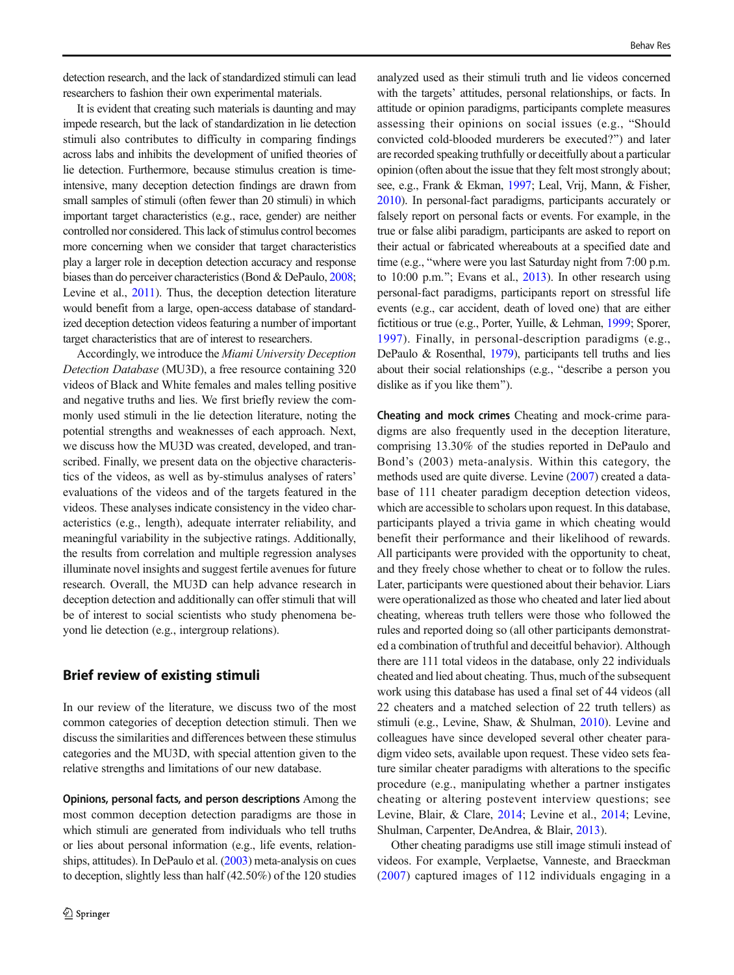detection research, and the lack of standardized stimuli can lead researchers to fashion their own experimental materials.

It is evident that creating such materials is daunting and may impede research, but the lack of standardization in lie detection stimuli also contributes to difficulty in comparing findings across labs and inhibits the development of unified theories of lie detection. Furthermore, because stimulus creation is timeintensive, many deception detection findings are drawn from small samples of stimuli (often fewer than 20 stimuli) in which important target characteristics (e.g., race, gender) are neither controlled nor considered. This lack of stimulus control becomes more concerning when we consider that target characteristics play a larger role in deception detection accuracy and response biases than do perceiver characteristics (Bond & DePaulo, [2008](#page-9-0); Levine et al., [2011](#page-9-0)). Thus, the deception detection literature would benefit from a large, open-access database of standardized deception detection videos featuring a number of important target characteristics that are of interest to researchers.

Accordingly, we introduce the Miami University Deception Detection Database (MU3D), a free resource containing 320 videos of Black and White females and males telling positive and negative truths and lies. We first briefly review the commonly used stimuli in the lie detection literature, noting the potential strengths and weaknesses of each approach. Next, we discuss how the MU3D was created, developed, and transcribed. Finally, we present data on the objective characteristics of the videos, as well as by-stimulus analyses of raters' evaluations of the videos and of the targets featured in the videos. These analyses indicate consistency in the video characteristics (e.g., length), adequate interrater reliability, and meaningful variability in the subjective ratings. Additionally, the results from correlation and multiple regression analyses illuminate novel insights and suggest fertile avenues for future research. Overall, the MU3D can help advance research in deception detection and additionally can offer stimuli that will be of interest to social scientists who study phenomena beyond lie detection (e.g., intergroup relations).

## Brief review of existing stimuli

In our review of the literature, we discuss two of the most common categories of deception detection stimuli. Then we discuss the similarities and differences between these stimulus categories and the MU3D, with special attention given to the relative strengths and limitations of our new database.

Opinions, personal facts, and person descriptions Among the most common deception detection paradigms are those in which stimuli are generated from individuals who tell truths or lies about personal information (e.g., life events, relationships, attitudes). In DePaulo et al. [\(2003](#page-9-0)) meta-analysis on cues to deception, slightly less than half (42.50%) of the 120 studies

analyzed used as their stimuli truth and lie videos concerned with the targets' attitudes, personal relationships, or facts. In attitude or opinion paradigms, participants complete measures assessing their opinions on social issues (e.g., "Should convicted cold-blooded murderers be executed?^) and later are recorded speaking truthfully or deceitfully about a particular opinion (often about the issue that they felt most strongly about; see, e.g., Frank & Ekman, [1997](#page-9-0); Leal, Vrij, Mann, & Fisher, [2010\)](#page-9-0). In personal-fact paradigms, participants accurately or falsely report on personal facts or events. For example, in the true or false alibi paradigm, participants are asked to report on their actual or fabricated whereabouts at a specified date and time (e.g., "where were you last Saturday night from 7:00 p.m. to  $10:00$  p.m."; Evans et al.,  $2013$ ). In other research using personal-fact paradigms, participants report on stressful life events (e.g., car accident, death of loved one) that are either fictitious or true (e.g., Porter, Yuille, & Lehman, [1999;](#page-10-0) Sporer, [1997](#page-10-0)). Finally, in personal-description paradigms (e.g., DePaulo & Rosenthal, [1979\)](#page-9-0), participants tell truths and lies about their social relationships (e.g., "describe a person you dislike as if you like them").

Cheating and mock crimes Cheating and mock-crime paradigms are also frequently used in the deception literature, comprising 13.30% of the studies reported in DePaulo and Bond's (2003) meta-analysis. Within this category, the methods used are quite diverse. Levine ([2007](#page-9-0)) created a database of 111 cheater paradigm deception detection videos, which are accessible to scholars upon request. In this database, participants played a trivia game in which cheating would benefit their performance and their likelihood of rewards. All participants were provided with the opportunity to cheat, and they freely chose whether to cheat or to follow the rules. Later, participants were questioned about their behavior. Liars were operationalized as those who cheated and later lied about cheating, whereas truth tellers were those who followed the rules and reported doing so (all other participants demonstrated a combination of truthful and deceitful behavior). Although there are 111 total videos in the database, only 22 individuals cheated and lied about cheating. Thus, much of the subsequent work using this database has used a final set of 44 videos (all 22 cheaters and a matched selection of 22 truth tellers) as stimuli (e.g., Levine, Shaw, & Shulman, [2010\)](#page-10-0). Levine and colleagues have since developed several other cheater paradigm video sets, available upon request. These video sets feature similar cheater paradigms with alterations to the specific procedure (e.g., manipulating whether a partner instigates cheating or altering postevent interview questions; see Levine, Blair, & Clare, [2014;](#page-9-0) Levine et al., [2014;](#page-9-0) Levine, Shulman, Carpenter, DeAndrea, & Blair, [2013](#page-10-0)).

Other cheating paradigms use still image stimuli instead of videos. For example, Verplaetse, Vanneste, and Braeckman [\(2007\)](#page-10-0) captured images of 112 individuals engaging in a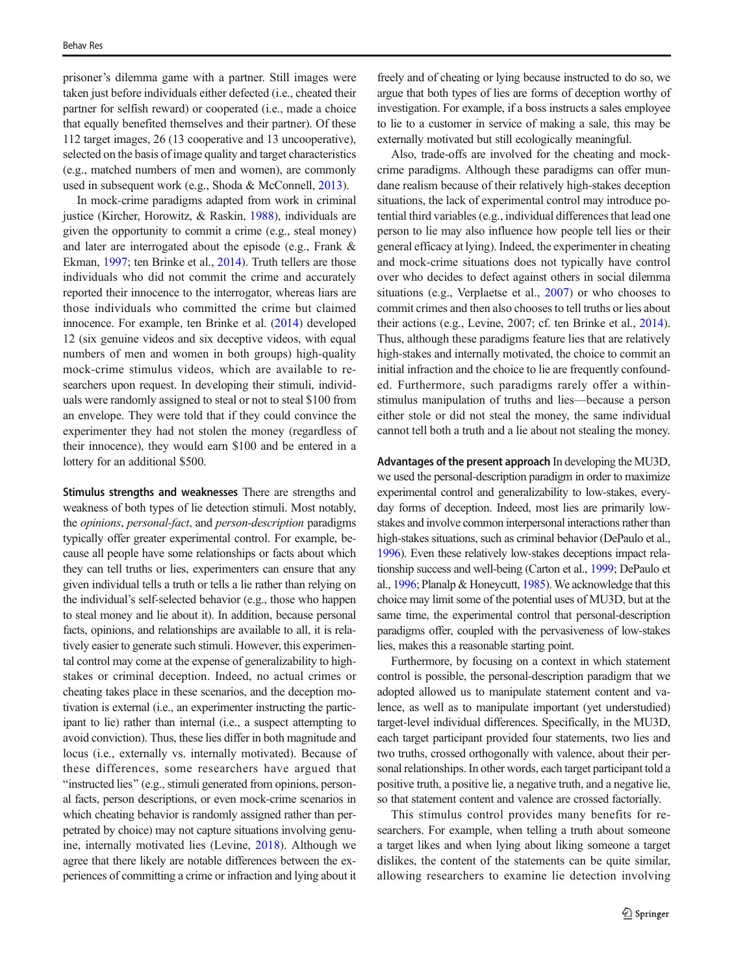prisoner's dilemma game with a partner. Still images were taken just before individuals either defected (i.e., cheated their partner for selfish reward) or cooperated (i.e., made a choice that equally benefited themselves and their partner). Of these 112 target images, 26 (13 cooperative and 13 uncooperative), selected on the basis of image quality and target characteristics (e.g., matched numbers of men and women), are commonly used in subsequent work (e.g., Shoda & McConnell, [2013](#page-10-0)).

In mock-crime paradigms adapted from work in criminal justice (Kircher, Horowitz, & Raskin, [1988](#page-9-0)), individuals are given the opportunity to commit a crime (e.g., steal money) and later are interrogated about the episode (e.g., Frank & Ekman, [1997](#page-9-0); ten Brinke et al., [2014\)](#page-10-0). Truth tellers are those individuals who did not commit the crime and accurately reported their innocence to the interrogator, whereas liars are those individuals who committed the crime but claimed innocence. For example, ten Brinke et al. [\(2014\)](#page-10-0) developed 12 (six genuine videos and six deceptive videos, with equal numbers of men and women in both groups) high-quality mock-crime stimulus videos, which are available to researchers upon request. In developing their stimuli, individuals were randomly assigned to steal or not to steal \$100 from an envelope. They were told that if they could convince the experimenter they had not stolen the money (regardless of their innocence), they would earn \$100 and be entered in a lottery for an additional \$500.

Stimulus strengths and weaknesses There are strengths and weakness of both types of lie detection stimuli. Most notably, the opinions, personal-fact, and person-description paradigms typically offer greater experimental control. For example, because all people have some relationships or facts about which they can tell truths or lies, experimenters can ensure that any given individual tells a truth or tells a lie rather than relying on the individual's self-selected behavior (e.g., those who happen to steal money and lie about it). In addition, because personal facts, opinions, and relationships are available to all, it is relatively easier to generate such stimuli. However, this experimental control may come at the expense of generalizability to highstakes or criminal deception. Indeed, no actual crimes or cheating takes place in these scenarios, and the deception motivation is external (i.e., an experimenter instructing the participant to lie) rather than internal (i.e., a suspect attempting to avoid conviction). Thus, these lies differ in both magnitude and locus (i.e., externally vs. internally motivated). Because of these differences, some researchers have argued that "instructed lies" (e.g., stimuli generated from opinions, personal facts, person descriptions, or even mock-crime scenarios in which cheating behavior is randomly assigned rather than perpetrated by choice) may not capture situations involving genuine, internally motivated lies (Levine, [2018](#page-10-0)). Although we agree that there likely are notable differences between the experiences of committing a crime or infraction and lying about it

freely and of cheating or lying because instructed to do so, we argue that both types of lies are forms of deception worthy of investigation. For example, if a boss instructs a sales employee to lie to a customer in service of making a sale, this may be externally motivated but still ecologically meaningful.

Also, trade-offs are involved for the cheating and mockcrime paradigms. Although these paradigms can offer mundane realism because of their relatively high-stakes deception situations, the lack of experimental control may introduce potential third variables (e.g., individual differences that lead one person to lie may also influence how people tell lies or their general efficacy at lying). Indeed, the experimenter in cheating and mock-crime situations does not typically have control over who decides to defect against others in social dilemma situations (e.g., Verplaetse et al., [2007\)](#page-10-0) or who chooses to commit crimes and then also chooses to tell truths or lies about their actions (e.g., Levine, 2007; cf. ten Brinke et al., [2014\)](#page-10-0). Thus, although these paradigms feature lies that are relatively high-stakes and internally motivated, the choice to commit an initial infraction and the choice to lie are frequently confounded. Furthermore, such paradigms rarely offer a withinstimulus manipulation of truths and lies—because a person either stole or did not steal the money, the same individual cannot tell both a truth and a lie about not stealing the money.

Advantages of the present approach In developing the MU3D, we used the personal-description paradigm in order to maximize experimental control and generalizability to low-stakes, everyday forms of deception. Indeed, most lies are primarily lowstakes and involve common interpersonal interactions rather than high-stakes situations, such as criminal behavior (DePaulo et al., [1996\)](#page-9-0). Even these relatively low-stakes deceptions impact relationship success and well-being (Carton et al., [1999;](#page-9-0) DePaulo et al., [1996;](#page-9-0) Planalp & Honeycutt, [1985\)](#page-10-0). We acknowledge that this choice may limit some of the potential uses of MU3D, but at the same time, the experimental control that personal-description paradigms offer, coupled with the pervasiveness of low-stakes lies, makes this a reasonable starting point.

Furthermore, by focusing on a context in which statement control is possible, the personal-description paradigm that we adopted allowed us to manipulate statement content and valence, as well as to manipulate important (yet understudied) target-level individual differences. Specifically, in the MU3D, each target participant provided four statements, two lies and two truths, crossed orthogonally with valence, about their personal relationships. In other words, each target participant told a positive truth, a positive lie, a negative truth, and a negative lie, so that statement content and valence are crossed factorially.

This stimulus control provides many benefits for researchers. For example, when telling a truth about someone a target likes and when lying about liking someone a target dislikes, the content of the statements can be quite similar, allowing researchers to examine lie detection involving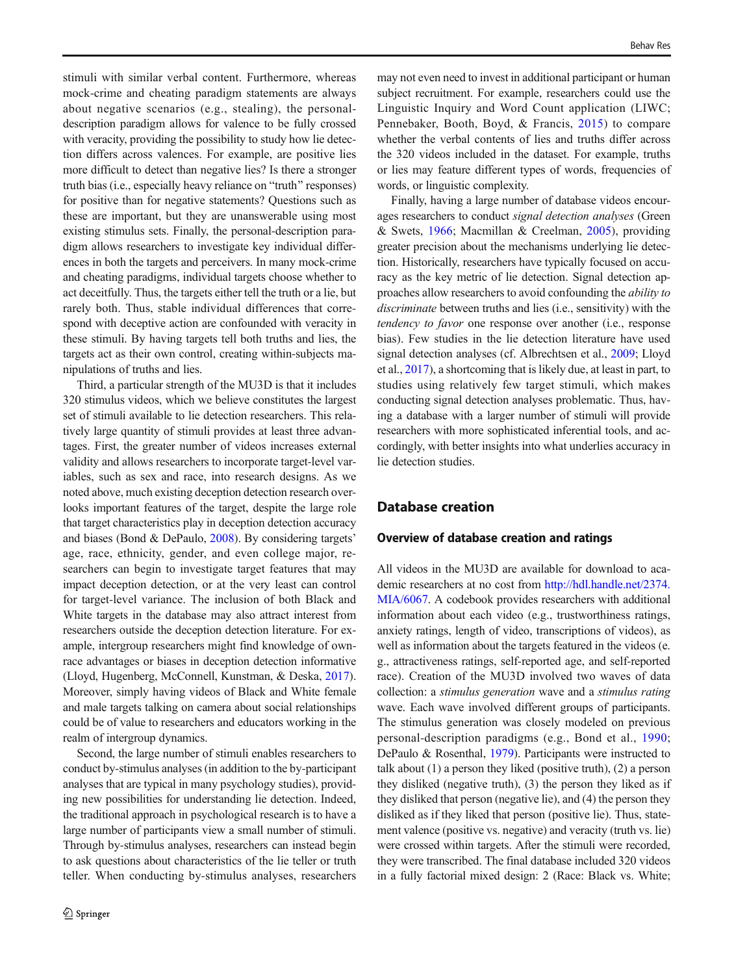stimuli with similar verbal content. Furthermore, whereas mock-crime and cheating paradigm statements are always about negative scenarios (e.g., stealing), the personaldescription paradigm allows for valence to be fully crossed with veracity, providing the possibility to study how lie detection differs across valences. For example, are positive lies more difficult to detect than negative lies? Is there a stronger truth bias (*i.e.*, especially heavy reliance on "truth" responses) for positive than for negative statements? Questions such as these are important, but they are unanswerable using most existing stimulus sets. Finally, the personal-description paradigm allows researchers to investigate key individual differences in both the targets and perceivers. In many mock-crime and cheating paradigms, individual targets choose whether to act deceitfully. Thus, the targets either tell the truth or a lie, but rarely both. Thus, stable individual differences that correspond with deceptive action are confounded with veracity in these stimuli. By having targets tell both truths and lies, the targets act as their own control, creating within-subjects manipulations of truths and lies.

Third, a particular strength of the MU3D is that it includes 320 stimulus videos, which we believe constitutes the largest set of stimuli available to lie detection researchers. This relatively large quantity of stimuli provides at least three advantages. First, the greater number of videos increases external validity and allows researchers to incorporate target-level variables, such as sex and race, into research designs. As we noted above, much existing deception detection research overlooks important features of the target, despite the large role that target characteristics play in deception detection accuracy and biases (Bond & DePaulo, [2008](#page-9-0)). By considering targets' age, race, ethnicity, gender, and even college major, researchers can begin to investigate target features that may impact deception detection, or at the very least can control for target-level variance. The inclusion of both Black and White targets in the database may also attract interest from researchers outside the deception detection literature. For example, intergroup researchers might find knowledge of ownrace advantages or biases in deception detection informative (Lloyd, Hugenberg, McConnell, Kunstman, & Deska, [2017\)](#page-10-0). Moreover, simply having videos of Black and White female and male targets talking on camera about social relationships could be of value to researchers and educators working in the realm of intergroup dynamics.

Second, the large number of stimuli enables researchers to conduct by-stimulus analyses (in addition to the by-participant analyses that are typical in many psychology studies), providing new possibilities for understanding lie detection. Indeed, the traditional approach in psychological research is to have a large number of participants view a small number of stimuli. Through by-stimulus analyses, researchers can instead begin to ask questions about characteristics of the lie teller or truth teller. When conducting by-stimulus analyses, researchers

may not even need to invest in additional participant or human subject recruitment. For example, researchers could use the Linguistic Inquiry and Word Count application (LIWC; Pennebaker, Booth, Boyd, & Francis, [2015\)](#page-10-0) to compare whether the verbal contents of lies and truths differ across the 320 videos included in the dataset. For example, truths or lies may feature different types of words, frequencies of words, or linguistic complexity.

Finally, having a large number of database videos encourages researchers to conduct signal detection analyses (Green & Swets, [1966](#page-9-0); Macmillan & Creelman, [2005](#page-10-0)), providing greater precision about the mechanisms underlying lie detection. Historically, researchers have typically focused on accuracy as the key metric of lie detection. Signal detection approaches allow researchers to avoid confounding the ability to discriminate between truths and lies (i.e., sensitivity) with the tendency to favor one response over another (i.e., response bias). Few studies in the lie detection literature have used signal detection analyses (cf. Albrechtsen et al., [2009](#page-9-0); Lloyd et al., [2017](#page-10-0)), a shortcoming that is likely due, at least in part, to studies using relatively few target stimuli, which makes conducting signal detection analyses problematic. Thus, having a database with a larger number of stimuli will provide researchers with more sophisticated inferential tools, and accordingly, with better insights into what underlies accuracy in lie detection studies.

## Database creation

#### Overview of database creation and ratings

All videos in the MU3D are available for download to academic researchers at no cost from [http://hdl.handle.net/2374.](http://hdl.handle.net/2374.MIA/6067) [MIA/6067](http://hdl.handle.net/2374.MIA/6067). A codebook provides researchers with additional information about each video (e.g., trustworthiness ratings, anxiety ratings, length of video, transcriptions of videos), as well as information about the targets featured in the videos (e. g., attractiveness ratings, self-reported age, and self-reported race). Creation of the MU3D involved two waves of data collection: a stimulus generation wave and a stimulus rating wave. Each wave involved different groups of participants. The stimulus generation was closely modeled on previous personal-description paradigms (e.g., Bond et al., [1990;](#page-9-0) DePaulo & Rosenthal, [1979\)](#page-9-0). Participants were instructed to talk about (1) a person they liked (positive truth), (2) a person they disliked (negative truth), (3) the person they liked as if they disliked that person (negative lie), and (4) the person they disliked as if they liked that person (positive lie). Thus, statement valence (positive vs. negative) and veracity (truth vs. lie) were crossed within targets. After the stimuli were recorded, they were transcribed. The final database included 320 videos in a fully factorial mixed design: 2 (Race: Black vs. White;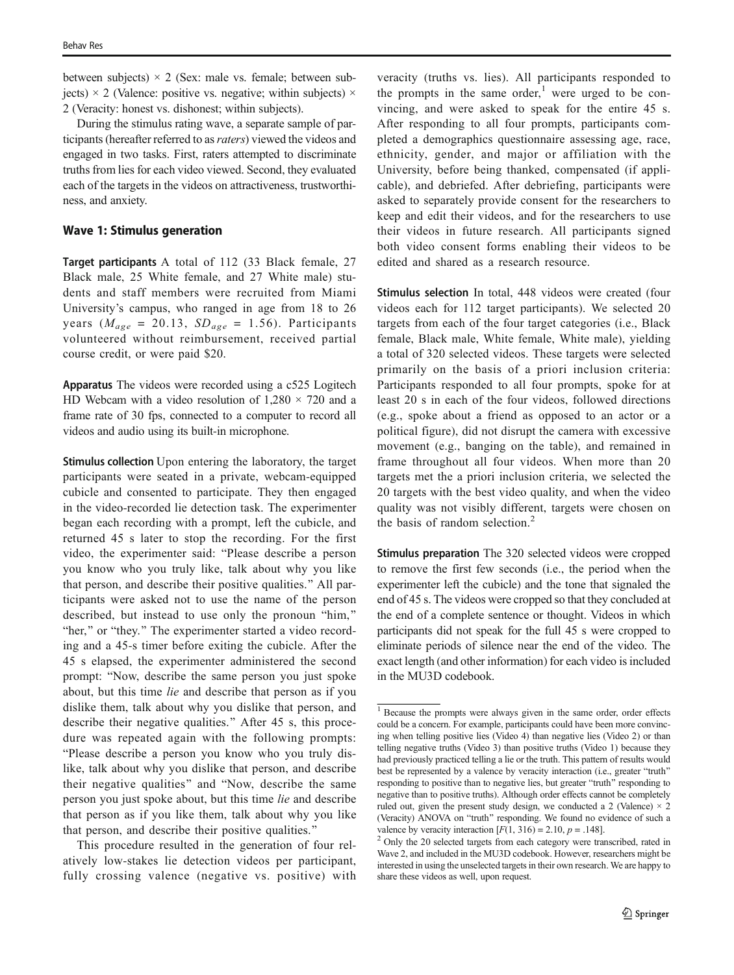between subjects)  $\times$  2 (Sex: male vs. female; between subjects)  $\times$  2 (Valence: positive vs. negative; within subjects)  $\times$ 2 (Veracity: honest vs. dishonest; within subjects).

During the stimulus rating wave, a separate sample of participants (hereafter referred to as *raters*) viewed the videos and engaged in two tasks. First, raters attempted to discriminate truths from lies for each video viewed. Second, they evaluated each of the targets in the videos on attractiveness, trustworthiness, and anxiety.

#### Wave 1: Stimulus generation

Target participants A total of 112 (33 Black female, 27 Black male, 25 White female, and 27 White male) students and staff members were recruited from Miami University's campus, who ranged in age from 18 to 26 years ( $M_{age} = 20.13$ ,  $SD_{age} = 1.56$ ). Participants volunteered without reimbursement, received partial course credit, or were paid \$20.

Apparatus The videos were recorded using a c525 Logitech HD Webcam with a video resolution of  $1,280 \times 720$  and a frame rate of 30 fps, connected to a computer to record all videos and audio using its built-in microphone.

Stimulus collection Upon entering the laboratory, the target participants were seated in a private, webcam-equipped cubicle and consented to participate. They then engaged in the video-recorded lie detection task. The experimenter began each recording with a prompt, left the cubicle, and returned 45 s later to stop the recording. For the first video, the experimenter said: "Please describe a person you know who you truly like, talk about why you like that person, and describe their positive qualities.^ All participants were asked not to use the name of the person described, but instead to use only the pronoun "him," "her," or "they." The experimenter started a video recording and a 45-s timer before exiting the cubicle. After the 45 s elapsed, the experimenter administered the second prompt: "Now, describe the same person you just spoke about, but this time lie and describe that person as if you dislike them, talk about why you dislike that person, and describe their negative qualities." After 45 s, this procedure was repeated again with the following prompts: "Please describe a person you know who you truly dislike, talk about why you dislike that person, and describe their negative qualities" and "Now, describe the same person you just spoke about, but this time lie and describe that person as if you like them, talk about why you like that person, and describe their positive qualities.<sup>"</sup>

This procedure resulted in the generation of four relatively low-stakes lie detection videos per participant, fully crossing valence (negative vs. positive) with

veracity (truths vs. lies). All participants responded to the prompts in the same order,<sup>1</sup> were urged to be convincing, and were asked to speak for the entire 45 s. After responding to all four prompts, participants completed a demographics questionnaire assessing age, race, ethnicity, gender, and major or affiliation with the University, before being thanked, compensated (if applicable), and debriefed. After debriefing, participants were asked to separately provide consent for the researchers to keep and edit their videos, and for the researchers to use their videos in future research. All participants signed both video consent forms enabling their videos to be edited and shared as a research resource.

Stimulus selection In total, 448 videos were created (four videos each for 112 target participants). We selected 20 targets from each of the four target categories (i.e., Black female, Black male, White female, White male), yielding a total of 320 selected videos. These targets were selected primarily on the basis of a priori inclusion criteria: Participants responded to all four prompts, spoke for at least 20 s in each of the four videos, followed directions (e.g., spoke about a friend as opposed to an actor or a political figure), did not disrupt the camera with excessive movement (e.g., banging on the table), and remained in frame throughout all four videos. When more than 20 targets met the a priori inclusion criteria, we selected the 20 targets with the best video quality, and when the video quality was not visibly different, targets were chosen on the basis of random selection.<sup>2</sup>

Stimulus preparation The 320 selected videos were cropped to remove the first few seconds (i.e., the period when the experimenter left the cubicle) and the tone that signaled the end of 45 s. The videos were cropped so that they concluded at the end of a complete sentence or thought. Videos in which participants did not speak for the full 45 s were cropped to eliminate periods of silence near the end of the video. The exact length (and other information) for each video is included in the MU3D codebook.

<sup>&</sup>lt;sup>1</sup> Because the prompts were always given in the same order, order effects could be a concern. For example, participants could have been more convincing when telling positive lies (Video 4) than negative lies (Video 2) or than telling negative truths (Video 3) than positive truths (Video 1) because they had previously practiced telling a lie or the truth. This pattern of results would best be represented by a valence by veracity interaction (i.e., greater "truth" responding to positive than to negative lies, but greater "truth" responding to negative than to positive truths). Although order effects cannot be completely ruled out, given the present study design, we conducted a 2 (Valence)  $\times$  2 (Veracity) ANOVA on "truth" responding. We found no evidence of such a

valence by veracity interaction  $[F(1, 316) = 2.10, p = .148]$ .<br><sup>2</sup> Only the 20 selected targets from each category were transcribed, rated in Wave 2, and included in the MU3D codebook. However, researchers might be interested in using the unselected targets in their own research. We are happy to share these videos as well, upon request.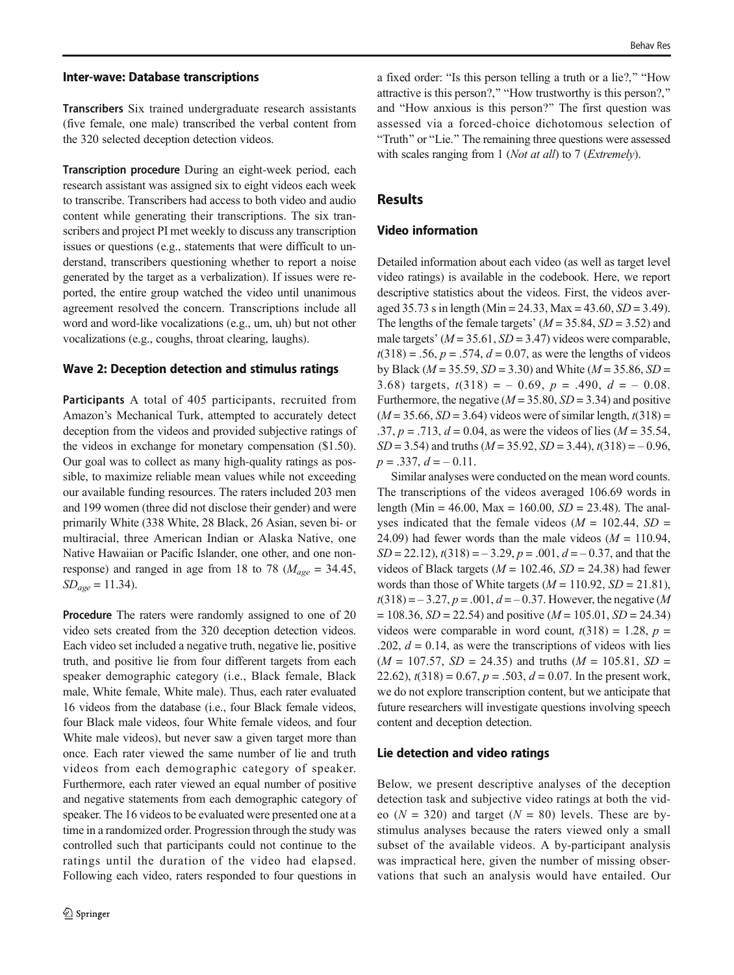#### Inter-wave: Database transcriptions

Transcribers Six trained undergraduate research assistants (five female, one male) transcribed the verbal content from the 320 selected deception detection videos.

Transcription procedure During an eight-week period, each research assistant was assigned six to eight videos each week to transcribe. Transcribers had access to both video and audio content while generating their transcriptions. The six transcribers and project PI met weekly to discuss any transcription issues or questions (e.g., statements that were difficult to understand, transcribers questioning whether to report a noise generated by the target as a verbalization). If issues were reported, the entire group watched the video until unanimous agreement resolved the concern. Transcriptions include all word and word-like vocalizations (e.g., um, uh) but not other vocalizations (e.g., coughs, throat clearing, laughs).

#### Wave 2: Deception detection and stimulus ratings

Participants A total of 405 participants, recruited from Amazon's Mechanical Turk, attempted to accurately detect deception from the videos and provided subjective ratings of the videos in exchange for monetary compensation (\$1.50). Our goal was to collect as many high-quality ratings as possible, to maximize reliable mean values while not exceeding our available funding resources. The raters included 203 men and 199 women (three did not disclose their gender) and were primarily White (338 White, 28 Black, 26 Asian, seven bi- or multiracial, three American Indian or Alaska Native, one Native Hawaiian or Pacific Islander, one other, and one nonresponse) and ranged in age from 18 to 78 ( $M_{age} = 34.45$ ,  $SD_{age} = 11.34$ .

Procedure The raters were randomly assigned to one of 20 video sets created from the 320 deception detection videos. Each video set included a negative truth, negative lie, positive truth, and positive lie from four different targets from each speaker demographic category (i.e., Black female, Black male, White female, White male). Thus, each rater evaluated 16 videos from the database (i.e., four Black female videos, four Black male videos, four White female videos, and four White male videos), but never saw a given target more than once. Each rater viewed the same number of lie and truth videos from each demographic category of speaker. Furthermore, each rater viewed an equal number of positive and negative statements from each demographic category of speaker. The 16 videos to be evaluated were presented one at a time in a randomized order. Progression through the study was controlled such that participants could not continue to the ratings until the duration of the video had elapsed. Following each video, raters responded to four questions in

a fixed order: "Is this person telling a truth or a lie?," "How attractive is this person?," "How trustworthy is this person?," and "How anxious is this person?" The first question was assessed via a forced-choice dichotomous selection of "Truth" or "Lie." The remaining three questions were assessed with scales ranging from 1 (Not at all) to 7 (Extremely).

# **Results**

## Video information

Detailed information about each video (as well as target level video ratings) is available in the codebook. Here, we report descriptive statistics about the videos. First, the videos averaged 35.73 s in length (Min = 24.33, Max = 43.60,  $SD = 3.49$ ). The lengths of the female targets'  $(M = 35.84, SD = 3.52)$  and male targets' ( $M = 35.61$ ,  $SD = 3.47$ ) videos were comparable,  $t(318) = .56, p = .574, d = 0.07$ , as were the lengths of videos by Black ( $M = 35.59$ ,  $SD = 3.30$ ) and White ( $M = 35.86$ ,  $SD =$ 3.68) targets,  $t(318) = -0.69$ ,  $p = .490$ ,  $d = -0.08$ . Furthermore, the negative  $(M = 35.80, SD = 3.34)$  and positive  $(M = 35.66, SD = 3.64)$  videos were of similar length,  $t(318) =$ .37,  $p = .713$ ,  $d = 0.04$ , as were the videos of lies ( $M = 35.54$ ,  $SD = 3.54$ ) and truths ( $M = 35.92$ ,  $SD = 3.44$ ),  $t(318) = -0.96$ ,  $p = .337, d = -0.11.$ 

Similar analyses were conducted on the mean word counts. The transcriptions of the videos averaged 106.69 words in length (Min = 46.00, Max = 160.00,  $SD = 23.48$ ). The analyses indicated that the female videos ( $M = 102.44$ ,  $SD =$ 24.09) had fewer words than the male videos ( $M = 110.94$ ,  $SD = 22.12$ ,  $t(318) = -3.29$ ,  $p = .001$ ,  $d = -0.37$ , and that the videos of Black targets ( $M = 102.46$ ,  $SD = 24.38$ ) had fewer words than those of White targets ( $M = 110.92$ ,  $SD = 21.81$ ),  $t(318) = -3.27, p = .001, d = -0.37$ . However, the negative (M)  $= 108.36$ ,  $SD = 22.54$ ) and positive ( $M = 105.01$ ,  $SD = 24.34$ ) videos were comparable in word count,  $t(318) = 1.28$ ,  $p =$ .202,  $d = 0.14$ , as were the transcriptions of videos with lies  $(M = 107.57, SD = 24.35)$  and truths  $(M = 105.81, SD =$ 22.62),  $t(318) = 0.67$ ,  $p = .503$ ,  $d = 0.07$ . In the present work, we do not explore transcription content, but we anticipate that future researchers will investigate questions involving speech content and deception detection.

#### Lie detection and video ratings

Below, we present descriptive analyses of the deception detection task and subjective video ratings at both the video ( $N = 320$ ) and target ( $N = 80$ ) levels. These are bystimulus analyses because the raters viewed only a small subset of the available videos. A by-participant analysis was impractical here, given the number of missing observations that such an analysis would have entailed. Our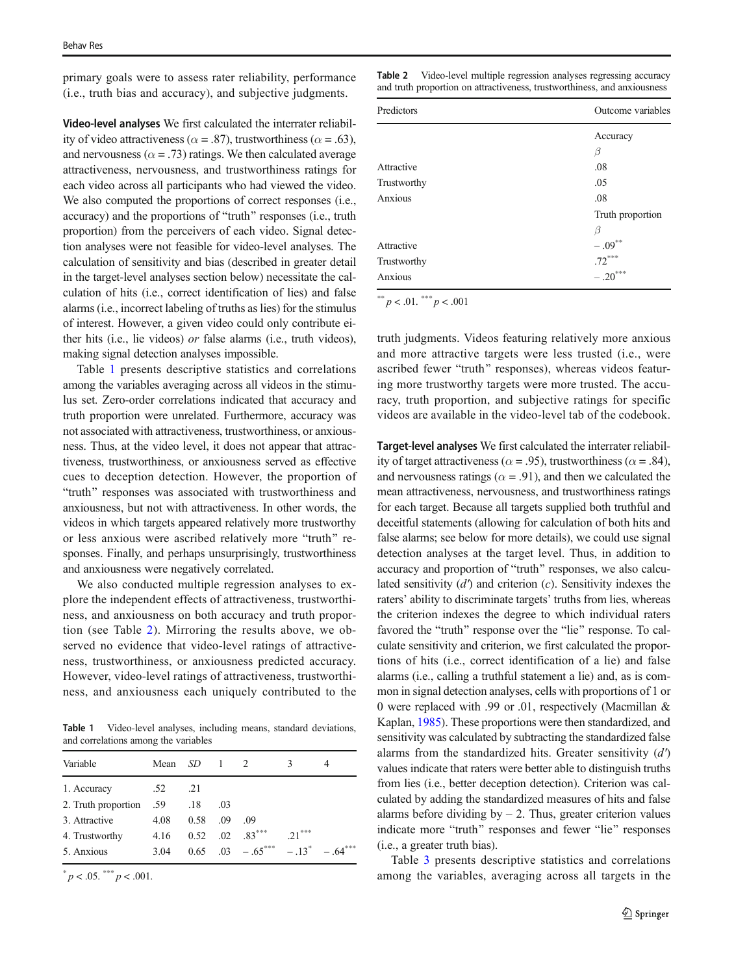primary goals were to assess rater reliability, performance (i.e., truth bias and accuracy), and subjective judgments.

Video-level analyses We first calculated the interrater reliability of video attractiveness ( $\alpha = .87$ ), trustworthiness ( $\alpha = .63$ ), and nervousness ( $\alpha$  = .73) ratings. We then calculated average attractiveness, nervousness, and trustworthiness ratings for each video across all participants who had viewed the video. We also computed the proportions of correct responses (i.e., accuracy) and the proportions of "truth" responses (i.e., truth proportion) from the perceivers of each video. Signal detection analyses were not feasible for video-level analyses. The calculation of sensitivity and bias (described in greater detail in the target-level analyses section below) necessitate the calculation of hits (i.e., correct identification of lies) and false alarms (i.e., incorrect labeling of truths as lies) for the stimulus of interest. However, a given video could only contribute either hits (i.e., lie videos) or false alarms (i.e., truth videos), making signal detection analyses impossible.

Table 1 presents descriptive statistics and correlations among the variables averaging across all videos in the stimulus set. Zero-order correlations indicated that accuracy and truth proportion were unrelated. Furthermore, accuracy was not associated with attractiveness, trustworthiness, or anxiousness. Thus, at the video level, it does not appear that attractiveness, trustworthiness, or anxiousness served as effective cues to deception detection. However, the proportion of "truth" responses was associated with trustworthiness and anxiousness, but not with attractiveness. In other words, the videos in which targets appeared relatively more trustworthy or less anxious were ascribed relatively more "truth" responses. Finally, and perhaps unsurprisingly, trustworthiness and anxiousness were negatively correlated.

We also conducted multiple regression analyses to explore the independent effects of attractiveness, trustworthiness, and anxiousness on both accuracy and truth proportion (see Table 2). Mirroring the results above, we observed no evidence that video-level ratings of attractiveness, trustworthiness, or anxiousness predicted accuracy. However, video-level ratings of attractiveness, trustworthiness, and anxiousness each uniquely contributed to the

Table 1 Video-level analyses, including means, standard deviations, and correlations among the variables

| Variable            | Mean | SD.           | $\mathbf{1}$ | $\mathcal{L}$                        |         |           |
|---------------------|------|---------------|--------------|--------------------------------------|---------|-----------|
| 1. Accuracy         | .52  | .21           |              |                                      |         |           |
| 2. Truth proportion | .59  | .18           | .03          |                                      |         |           |
| 3. Attractive       | 4.08 | 0.58          | .09          | .09                                  |         |           |
| 4. Trustworthy      | 4.16 | $0.52 \t .02$ |              | $.83***$                             | $21***$ |           |
| 5. Anxious          | 3.04 |               |              | $0.65$ . $03 - .65^{***}$ $-.13^{*}$ |         | $-.64***$ |

 $p < .05.$  \*\*\*  $p < .001.$ 

Table 2 Video-level multiple regression analyses regressing accuracy and truth proportion on attractiveness, trustworthiness, and anxiousness

| Predictors  | Outcome variables |
|-------------|-------------------|
|             | Accuracy          |
|             | β                 |
| Attractive  | .08               |
| Trustworthy | .05               |
| Anxious     | .08               |
|             | Truth proportion  |
|             | β                 |
| Attractive  | $-.09$            |
| Trustworthy | ***<br>.72        |
| Anxious     | 宗宗宗<br>$-.20$     |

\*\*  $p < .01$ . \*\*\*  $p < .001$ 

truth judgments. Videos featuring relatively more anxious and more attractive targets were less trusted (i.e., were ascribed fewer "truth" responses), whereas videos featuring more trustworthy targets were more trusted. The accuracy, truth proportion, and subjective ratings for specific videos are available in the video-level tab of the codebook.

Target-level analyses We first calculated the interrater reliability of target attractiveness ( $\alpha$  = .95), trustworthiness ( $\alpha$  = .84), and nervousness ratings ( $\alpha$  = .91), and then we calculated the mean attractiveness, nervousness, and trustworthiness ratings for each target. Because all targets supplied both truthful and deceitful statements (allowing for calculation of both hits and false alarms; see below for more details), we could use signal detection analyses at the target level. Thus, in addition to accuracy and proportion of "truth" responses, we also calculated sensitivity  $(d')$  and criterion  $(c)$ . Sensitivity indexes the raters' ability to discriminate targets' truths from lies, whereas the criterion indexes the degree to which individual raters favored the "truth" response over the "lie" response. To calculate sensitivity and criterion, we first calculated the proportions of hits (i.e., correct identification of a lie) and false alarms (i.e., calling a truthful statement a lie) and, as is common in signal detection analyses, cells with proportions of 1 or 0 were replaced with .99 or .01, respectively (Macmillan & Kaplan, [1985](#page-10-0)). These proportions were then standardized, and sensitivity was calculated by subtracting the standardized false alarms from the standardized hits. Greater sensitivity (d') values indicate that raters were better able to distinguish truths from lies (i.e., better deception detection). Criterion was calculated by adding the standardized measures of hits and false alarms before dividing  $by - 2$ . Thus, greater criterion values indicate more "truth" responses and fewer "lie" responses (i.e., a greater truth bias).

Table [3](#page-7-0) presents descriptive statistics and correlations among the variables, averaging across all targets in the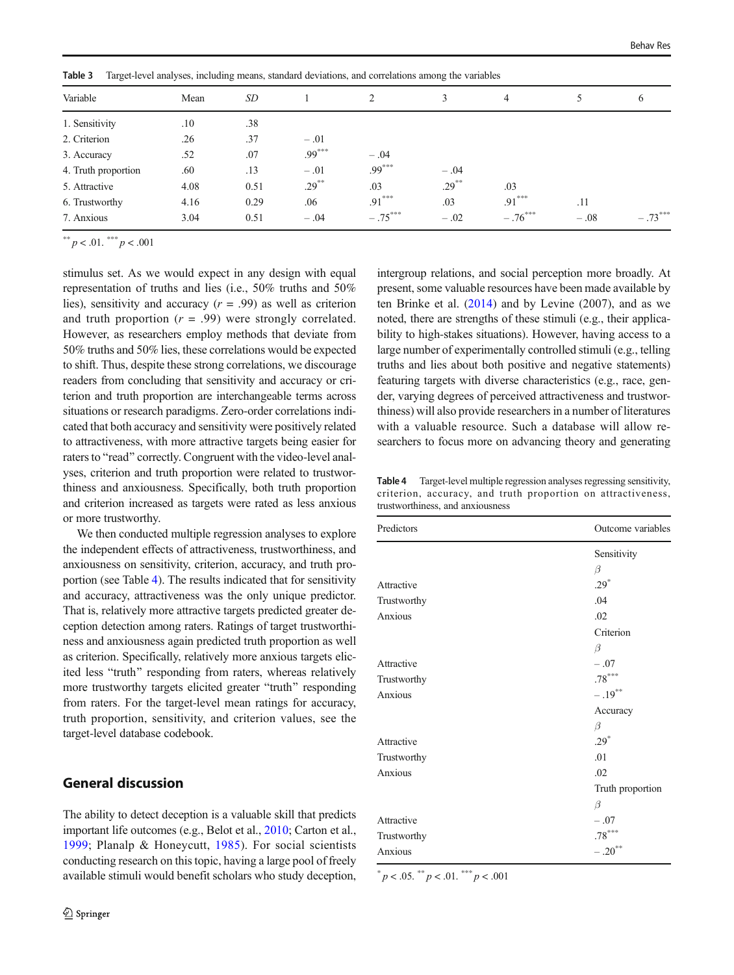| Table 3<br>Target-level analyses, including means, standard deviations, and correlations among the variables |      |      |          |           |          |           |        |           |
|--------------------------------------------------------------------------------------------------------------|------|------|----------|-----------|----------|-----------|--------|-----------|
| Variable                                                                                                     | Mean | SD   |          |           | 3        | 4         |        | 6         |
| 1. Sensitivity                                                                                               | .10  | .38  |          |           |          |           |        |           |
| 2. Criterion                                                                                                 | .26  | .37  | $-.01$   |           |          |           |        |           |
| 3. Accuracy                                                                                                  | .52  | .07  | $.99***$ | $-.04$    |          |           |        |           |
| 4. Truth proportion                                                                                          | .60  | .13  | $-.01$   | $.99***$  | $-.04$   |           |        |           |
| 5. Attractive                                                                                                | 4.08 | 0.51 | $.29***$ | .03       | $.29***$ | .03       |        |           |
| 6. Trustworthy                                                                                               | 4.16 | 0.29 | .06      | $.91***$  | .03      | $.91***$  | .11    |           |
| 7. Anxious                                                                                                   | 3.04 | 0.51 | $-.04$   | $-.75***$ | $-.02$   | $-.76***$ | $-.08$ | $-.73***$ |

<span id="page-7-0"></span>

\*\*  $p < .01.$ \*\*\*  $p < .001$ 

stimulus set. As we would expect in any design with equal representation of truths and lies (i.e., 50% truths and 50% lies), sensitivity and accuracy  $(r = .99)$  as well as criterion and truth proportion  $(r = .99)$  were strongly correlated. However, as researchers employ methods that deviate from 50% truths and 50% lies, these correlations would be expected to shift. Thus, despite these strong correlations, we discourage readers from concluding that sensitivity and accuracy or criterion and truth proportion are interchangeable terms across situations or research paradigms. Zero-order correlations indicated that both accuracy and sensitivity were positively related to attractiveness, with more attractive targets being easier for raters to "read" correctly. Congruent with the video-level analyses, criterion and truth proportion were related to trustworthiness and anxiousness. Specifically, both truth proportion and criterion increased as targets were rated as less anxious or more trustworthy.

We then conducted multiple regression analyses to explore the independent effects of attractiveness, trustworthiness, and anxiousness on sensitivity, criterion, accuracy, and truth proportion (see Table 4). The results indicated that for sensitivity and accuracy, attractiveness was the only unique predictor. That is, relatively more attractive targets predicted greater deception detection among raters. Ratings of target trustworthiness and anxiousness again predicted truth proportion as well as criterion. Specifically, relatively more anxious targets elicited less "truth" responding from raters, whereas relatively more trustworthy targets elicited greater "truth" responding from raters. For the target-level mean ratings for accuracy, truth proportion, sensitivity, and criterion values, see the target-level database codebook.

# General discussion

The ability to detect deception is a valuable skill that predicts important life outcomes (e.g., Belot et al., [2010](#page-9-0); Carton et al., [1999;](#page-9-0) Planalp & Honeycutt, [1985](#page-10-0)). For social scientists conducting research on this topic, having a large pool of freely available stimuli would benefit scholars who study deception,

intergroup relations, and social perception more broadly. At present, some valuable resources have been made available by ten Brinke et al. ([2014\)](#page-10-0) and by Levine (2007), and as we noted, there are strengths of these stimuli (e.g., their applicability to high-stakes situations). However, having access to a large number of experimentally controlled stimuli (e.g., telling truths and lies about both positive and negative statements) featuring targets with diverse characteristics (e.g., race, gender, varying degrees of perceived attractiveness and trustworthiness) will also provide researchers in a number of literatures with a valuable resource. Such a database will allow researchers to focus more on advancing theory and generating

Table 4 Target-level multiple regression analyses regressing sensitivity, criterion, accuracy, and truth proportion on attractiveness, trustworthiness, and anxiousness

| Predictors  | Outcome variables    |  |  |
|-------------|----------------------|--|--|
|             | Sensitivity          |  |  |
|             | β                    |  |  |
| Attractive  | $.29*$               |  |  |
| Trustworthy | .04                  |  |  |
| Anxious     | .02                  |  |  |
|             | Criterion            |  |  |
|             | β                    |  |  |
| Attractive  | $-.07$               |  |  |
| Trustworthy | $.78^{\ast\ast\ast}$ |  |  |
| Anxious     | $-.19***$            |  |  |
|             | Accuracy             |  |  |
|             | β                    |  |  |
| Attractive  | $.29*$               |  |  |
| Trustworthy | .01                  |  |  |
| Anxious     | .02                  |  |  |
|             | Truth proportion     |  |  |
|             | β                    |  |  |
| Attractive  | $-.07$               |  |  |
| Trustworthy | $.78^{\ast\ast\ast}$ |  |  |
| Anxious     | $-.20$ <sup>**</sup> |  |  |

 $p < .05.$  \*\*  $p < .01.$  \*\*\*  $p < .001$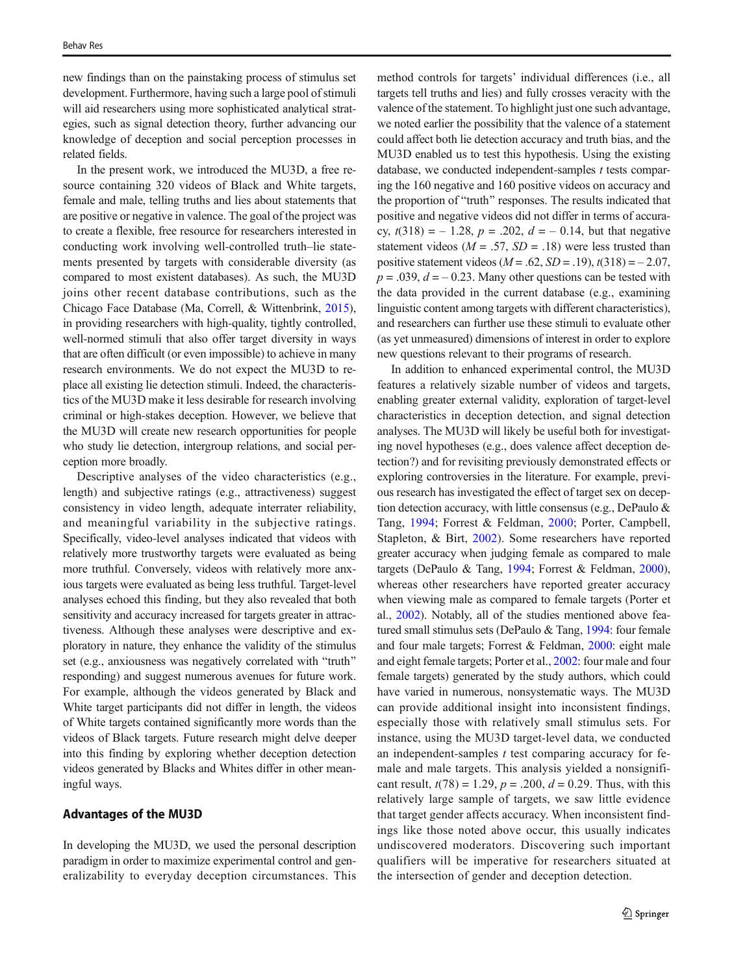new findings than on the painstaking process of stimulus set development. Furthermore, having such a large pool of stimuli will aid researchers using more sophisticated analytical strategies, such as signal detection theory, further advancing our knowledge of deception and social perception processes in related fields.

In the present work, we introduced the MU3D, a free resource containing 320 videos of Black and White targets, female and male, telling truths and lies about statements that are positive or negative in valence. The goal of the project was to create a flexible, free resource for researchers interested in conducting work involving well-controlled truth–lie statements presented by targets with considerable diversity (as compared to most existent databases). As such, the MU3D joins other recent database contributions, such as the Chicago Face Database (Ma, Correll, & Wittenbrink, [2015\)](#page-10-0), in providing researchers with high-quality, tightly controlled, well-normed stimuli that also offer target diversity in ways that are often difficult (or even impossible) to achieve in many research environments. We do not expect the MU3D to replace all existing lie detection stimuli. Indeed, the characteristics of the MU3D make it less desirable for research involving criminal or high-stakes deception. However, we believe that the MU3D will create new research opportunities for people who study lie detection, intergroup relations, and social perception more broadly.

Descriptive analyses of the video characteristics (e.g., length) and subjective ratings (e.g., attractiveness) suggest consistency in video length, adequate interrater reliability, and meaningful variability in the subjective ratings. Specifically, video-level analyses indicated that videos with relatively more trustworthy targets were evaluated as being more truthful. Conversely, videos with relatively more anxious targets were evaluated as being less truthful. Target-level analyses echoed this finding, but they also revealed that both sensitivity and accuracy increased for targets greater in attractiveness. Although these analyses were descriptive and exploratory in nature, they enhance the validity of the stimulus set (e.g., anxiousness was negatively correlated with "truth" responding) and suggest numerous avenues for future work. For example, although the videos generated by Black and White target participants did not differ in length, the videos of White targets contained significantly more words than the videos of Black targets. Future research might delve deeper into this finding by exploring whether deception detection videos generated by Blacks and Whites differ in other meaningful ways.

### Advantages of the MU3D

In developing the MU3D, we used the personal description paradigm in order to maximize experimental control and generalizability to everyday deception circumstances. This

method controls for targets' individual differences (i.e., all targets tell truths and lies) and fully crosses veracity with the valence of the statement. To highlight just one such advantage, we noted earlier the possibility that the valence of a statement could affect both lie detection accuracy and truth bias, and the MU3D enabled us to test this hypothesis. Using the existing database, we conducted independent-samples  $t$  tests comparing the 160 negative and 160 positive videos on accuracy and the proportion of "truth" responses. The results indicated that positive and negative videos did not differ in terms of accuracy,  $t(318) = -1.28$ ,  $p = .202$ ,  $d = -0.14$ , but that negative statement videos ( $M = .57$ ,  $SD = .18$ ) were less trusted than positive statement videos ( $M = .62$ ,  $SD = .19$ ),  $t(318) = -2.07$ ,  $p = .039$ ,  $d = -0.23$ . Many other questions can be tested with the data provided in the current database (e.g., examining linguistic content among targets with different characteristics), and researchers can further use these stimuli to evaluate other (as yet unmeasured) dimensions of interest in order to explore new questions relevant to their programs of research.

In addition to enhanced experimental control, the MU3D features a relatively sizable number of videos and targets, enabling greater external validity, exploration of target-level characteristics in deception detection, and signal detection analyses. The MU3D will likely be useful both for investigating novel hypotheses (e.g., does valence affect deception detection?) and for revisiting previously demonstrated effects or exploring controversies in the literature. For example, previous research has investigated the effect of target sex on deception detection accuracy, with little consensus (e.g., DePaulo & Tang, [1994;](#page-9-0) Forrest & Feldman, [2000](#page-9-0); Porter, Campbell, Stapleton, & Birt, [2002\)](#page-10-0). Some researchers have reported greater accuracy when judging female as compared to male targets (DePaulo & Tang, [1994](#page-9-0); Forrest & Feldman, [2000\)](#page-9-0), whereas other researchers have reported greater accuracy when viewing male as compared to female targets (Porter et al., [2002](#page-10-0)). Notably, all of the studies mentioned above featured small stimulus sets (DePaulo & Tang, [1994:](#page-9-0) four female and four male targets; Forrest & Feldman, [2000:](#page-9-0) eight male and eight female targets; Porter et al., [2002:](#page-10-0) four male and four female targets) generated by the study authors, which could have varied in numerous, nonsystematic ways. The MU3D can provide additional insight into inconsistent findings, especially those with relatively small stimulus sets. For instance, using the MU3D target-level data, we conducted an independent-samples  $t$  test comparing accuracy for female and male targets. This analysis yielded a nonsignificant result,  $t(78) = 1.29$ ,  $p = .200$ ,  $d = 0.29$ . Thus, with this relatively large sample of targets, we saw little evidence that target gender affects accuracy. When inconsistent findings like those noted above occur, this usually indicates undiscovered moderators. Discovering such important qualifiers will be imperative for researchers situated at the intersection of gender and deception detection.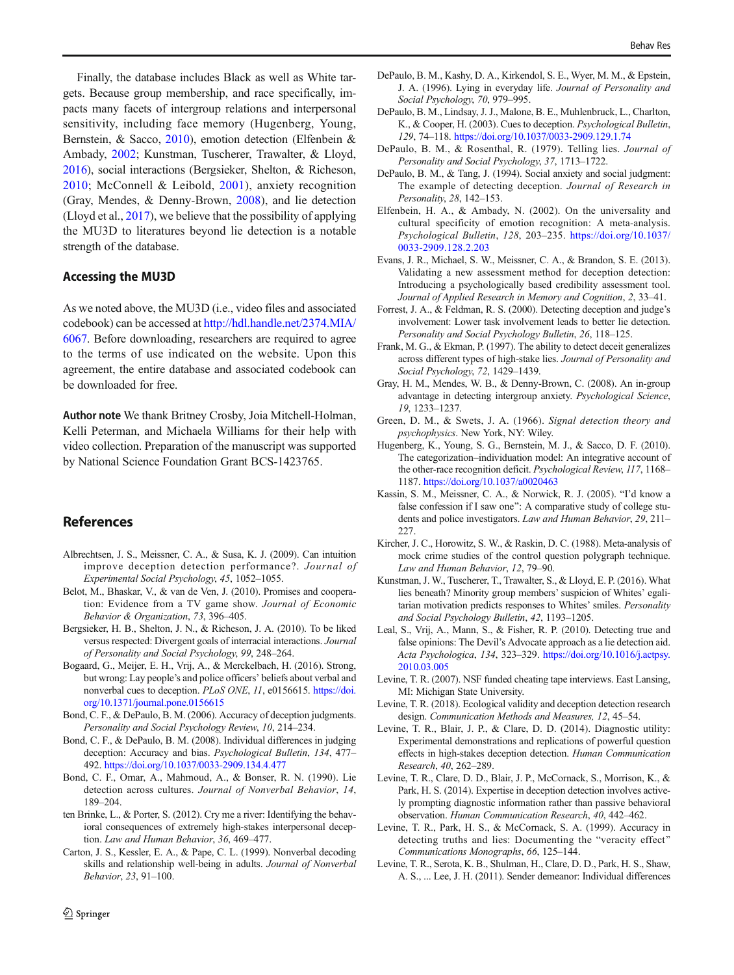<span id="page-9-0"></span>Finally, the database includes Black as well as White targets. Because group membership, and race specifically, impacts many facets of intergroup relations and interpersonal sensitivity, including face memory (Hugenberg, Young, Bernstein, & Sacco, 2010), emotion detection (Elfenbein & Ambady, 2002; Kunstman, Tuscherer, Trawalter, & Lloyd, 2016), social interactions (Bergsieker, Shelton, & Richeson, 2010; McConnell & Leibold, [2001\)](#page-10-0), anxiety recognition (Gray, Mendes, & Denny-Brown, 2008), and lie detection (Lloyd et al., [2017\)](#page-10-0), we believe that the possibility of applying the MU3D to literatures beyond lie detection is a notable strength of the database.

#### Accessing the MU3D

As we noted above, the MU3D (i.e., video files and associated codebook) can be accessed at [http://hdl.handle.net/2374.MIA/](http://hdl.handle.net/2374.MIA/6067) [6067.](http://hdl.handle.net/2374.MIA/6067) Before downloading, researchers are required to agree to the terms of use indicated on the website. Upon this agreement, the entire database and associated codebook can be downloaded for free.

Author note We thank Britney Crosby, Joia Mitchell-Holman, Kelli Peterman, and Michaela Williams for their help with video collection. Preparation of the manuscript was supported by National Science Foundation Grant BCS-1423765.

# **References**

- Albrechtsen, J. S., Meissner, C. A., & Susa, K. J. (2009). Can intuition improve deception detection performance?. Journal of Experimental Social Psychology, 45, 1052–1055.
- Belot, M., Bhaskar, V., & van de Ven, J. (2010). Promises and cooperation: Evidence from a TV game show. Journal of Economic Behavior & Organization, 73, 396–405.
- Bergsieker, H. B., Shelton, J. N., & Richeson, J. A. (2010). To be liked versus respected: Divergent goals of interracial interactions. Journal of Personality and Social Psychology, 99, 248–264.
- Bogaard, G., Meijer, E. H., Vrij, A., & Merckelbach, H. (2016). Strong, but wrong: Lay people's and police officers' beliefs about verbal and nonverbal cues to deception. PLoS ONE, 11, e0156615. [https://doi.](https://doi.org/10.1371/journal.pone.0156615) [org/10.1371/journal.pone.0156615](https://doi.org/10.1371/journal.pone.0156615)
- Bond, C. F., & DePaulo, B. M. (2006). Accuracy of deception judgments. Personality and Social Psychology Review, 10, 214–234.
- Bond, C. F., & DePaulo, B. M. (2008). Individual differences in judging deception: Accuracy and bias. Psychological Bulletin, 134, 477– 492. <https://doi.org/10.1037/0033-2909.134.4.477>
- Bond, C. F., Omar, A., Mahmoud, A., & Bonser, R. N. (1990). Lie detection across cultures. Journal of Nonverbal Behavior, 14, 189–204.
- ten Brinke, L., & Porter, S. (2012). Cry me a river: Identifying the behavioral consequences of extremely high-stakes interpersonal deception. Law and Human Behavior, 36, 469–477.
- Carton, J. S., Kessler, E. A., & Pape, C. L. (1999). Nonverbal decoding skills and relationship well-being in adults. Journal of Nonverbal Behavior, 23, 91–100.
- DePaulo, B. M., Kashy, D. A., Kirkendol, S. E., Wyer, M. M., & Epstein, J. A. (1996). Lying in everyday life. Journal of Personality and Social Psychology, 70, 979–995.
- DePaulo, B. M., Lindsay, J. J., Malone, B. E., Muhlenbruck, L., Charlton, K., & Cooper, H. (2003). Cues to deception. Psychological Bulletin, 129, 74–118. <https://doi.org/10.1037/0033-2909.129.1.74>
- DePaulo, B. M., & Rosenthal, R. (1979). Telling lies. Journal of Personality and Social Psychology, 37, 1713–1722.
- DePaulo, B. M., & Tang, J. (1994). Social anxiety and social judgment: The example of detecting deception. Journal of Research in Personality, 28, 142–153.
- Elfenbein, H. A., & Ambady, N. (2002). On the universality and cultural specificity of emotion recognition: A meta-analysis. Psychological Bulletin, 128, 203–235. [https://doi.org/10.1037/](https://doi.org/10.1037/0033-2909.128.2.203) [0033-2909.128.2.203](https://doi.org/10.1037/0033-2909.128.2.203)
- Evans, J. R., Michael, S. W., Meissner, C. A., & Brandon, S. E. (2013). Validating a new assessment method for deception detection: Introducing a psychologically based credibility assessment tool. Journal of Applied Research in Memory and Cognition, 2, 33–41.
- Forrest, J. A., & Feldman, R. S. (2000). Detecting deception and judge's involvement: Lower task involvement leads to better lie detection. Personality and Social Psychology Bulletin, 26, 118–125.
- Frank, M. G., & Ekman, P. (1997). The ability to detect deceit generalizes across different types of high-stake lies. Journal of Personality and Social Psychology, 72, 1429–1439.
- Gray, H. M., Mendes, W. B., & Denny-Brown, C. (2008). An in-group advantage in detecting intergroup anxiety. Psychological Science, 19, 1233–1237.
- Green, D. M., & Swets, J. A. (1966). Signal detection theory and psychophysics. New York, NY: Wiley.
- Hugenberg, K., Young, S. G., Bernstein, M. J., & Sacco, D. F. (2010). The categorization–individuation model: An integrative account of the other-race recognition deficit. Psychological Review, 117, 1168– 1187. <https://doi.org/10.1037/a0020463>
- Kassin, S. M., Meissner, C. A., & Norwick, R. J. (2005). "I'd know a false confession if I saw one": A comparative study of college students and police investigators. Law and Human Behavior, 29, 211– 227.
- Kircher, J. C., Horowitz, S. W., & Raskin, D. C. (1988). Meta-analysis of mock crime studies of the control question polygraph technique. Law and Human Behavior, 12, 79–90.
- Kunstman, J. W., Tuscherer, T., Trawalter, S., & Lloyd, E. P. (2016). What lies beneath? Minority group members' suspicion of Whites' egalitarian motivation predicts responses to Whites' smiles. Personality and Social Psychology Bulletin, 42, 1193–1205.
- Leal, S., Vrij, A., Mann, S., & Fisher, R. P. (2010). Detecting true and false opinions: The Devil's Advocate approach as a lie detection aid. Acta Psychologica, 134, 323–329. [https://doi.org/10.1016/j.actpsy.](https://doi.org/10.1016/j.actpsy.2010.03.005) [2010.03.005](https://doi.org/10.1016/j.actpsy.2010.03.005)
- Levine, T. R. (2007). NSF funded cheating tape interviews. East Lansing, MI: Michigan State University.
- Levine, T. R. (2018). Ecological validity and deception detection research design. Communication Methods and Measures, 12, 45–54.
- Levine, T. R., Blair, J. P., & Clare, D. D. (2014). Diagnostic utility: Experimental demonstrations and replications of powerful question effects in high-stakes deception detection. Human Communication Research, 40, 262–289.
- Levine, T. R., Clare, D. D., Blair, J. P., McCornack, S., Morrison, K., & Park, H. S. (2014). Expertise in deception detection involves actively prompting diagnostic information rather than passive behavioral observation. Human Communication Research, 40, 442–462.
- Levine, T. R., Park, H. S., & McCornack, S. A. (1999). Accuracy in detecting truths and lies: Documenting the "veracity effect" Communications Monographs, 66, 125–144.
- Levine, T. R., Serota, K. B., Shulman, H., Clare, D. D., Park, H. S., Shaw, A. S., ... Lee, J. H. (2011). Sender demeanor: Individual differences